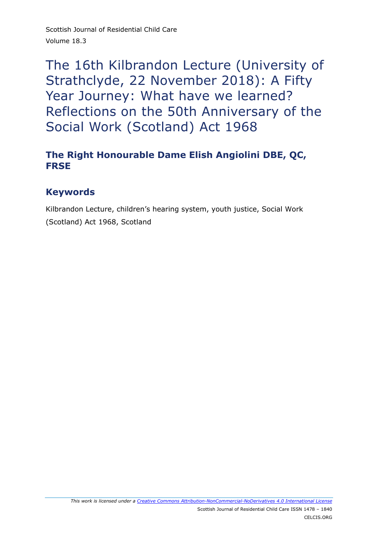# The 16th Kilbrandon Lecture (University of Strathclyde, 22 November 2018): A Fifty Year Journey: What have we learned? Reflections on the 50th Anniversary of the Social Work (Scotland) Act 1968

### **The Right Honourable Dame Elish Angiolini DBE, QC, FRSE**

#### **Keywords**

Kilbrandon Lecture, children's hearing system, youth justice, Social Work (Scotland) Act 1968, Scotland

*This work is licensed under a [Creative Commons Attribution-NonCommercial-NoDerivatives 4.0 International License](http://creativecommons.org/licenses/by-nc-nd/4.0/)*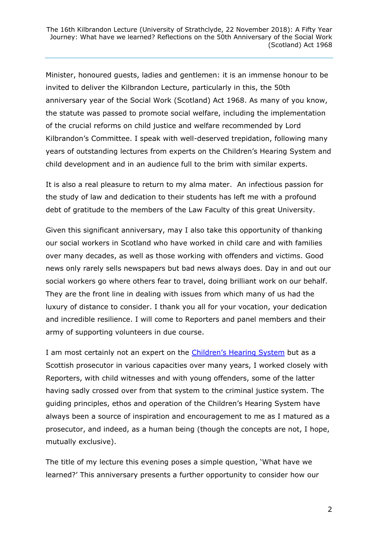Minister, honoured guests, ladies and gentlemen: it is an immense honour to be invited to deliver the Kilbrandon Lecture, particularly in this, the 50th anniversary year of the Social Work (Scotland) Act 1968. As many of you know, the statute was passed to promote social welfare, including the implementation of the crucial reforms on child justice and welfare recommended by Lord Kilbrandon's Committee. I speak with well-deserved trepidation, following many years of outstanding lectures from experts on the Children's Hearing System and child development and in an audience full to the brim with similar experts.

It is also a real pleasure to return to my alma mater. An infectious passion for the study of law and dedication to their students has left me with a profound debt of gratitude to the members of the Law Faculty of this great University.

Given this significant anniversary, may I also take this opportunity of thanking our social workers in Scotland who have worked in child care and with families over many decades, as well as those working with offenders and victims. Good news only rarely sells newspapers but bad news always does. Day in and out our social workers go where others fear to travel, doing brilliant work on our behalf. They are the front line in dealing with issues from which many of us had the luxury of distance to consider. I thank you all for your vocation, your dedication and incredible resilience. I will come to Reporters and panel members and their army of supporting volunteers in due course.

I am most certainly not an expert on the [Children's Hearing System](http://www.chscotland.gov.uk/) but as a Scottish prosecutor in various capacities over many years, I worked closely with Reporters, with child witnesses and with young offenders, some of the latter having sadly crossed over from that system to the criminal justice system. The guiding principles, ethos and operation of the Children's Hearing System have always been a source of inspiration and encouragement to me as I matured as a prosecutor, and indeed, as a human being (though the concepts are not, I hope, mutually exclusive).

The title of my lecture this evening poses a simple question, 'What have we learned?' This anniversary presents a further opportunity to consider how our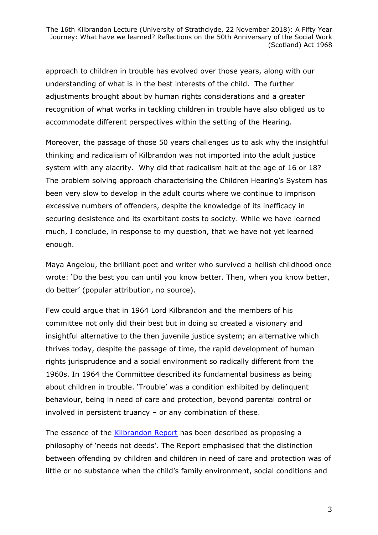approach to children in trouble has evolved over those years, along with our understanding of what is in the best interests of the child. The further adjustments brought about by human rights considerations and a greater recognition of what works in tackling children in trouble have also obliged us to accommodate different perspectives within the setting of the Hearing.

Moreover, the passage of those 50 years challenges us to ask why the insightful thinking and radicalism of Kilbrandon was not imported into the adult justice system with any alacrity. Why did that radicalism halt at the age of 16 or 18? The problem solving approach characterising the Children Hearing's System has been very slow to develop in the adult courts where we continue to imprison excessive numbers of offenders, despite the knowledge of its inefficacy in securing desistence and its exorbitant costs to society. While we have learned much, I conclude, in response to my question, that we have not yet learned enough.

Maya Angelou, the brilliant poet and writer who survived a hellish childhood once wrote: 'Do the best you can until you know better. Then, when you know better, do better' (popular attribution, no source).

Few could argue that in 1964 Lord Kilbrandon and the members of his committee not only did their best but in doing so created a visionary and insightful alternative to the then juvenile justice system; an alternative which thrives today, despite the passage of time, the rapid development of human rights jurisprudence and a social environment so radically different from the 1960s. In 1964 the Committee described its fundamental business as being about children in trouble. 'Trouble' was a condition exhibited by delinquent behaviour, being in need of care and protection, beyond parental control or involved in persistent truancy – or any combination of these.

The essence of the **Kilbrandon Report** has been described as proposing a philosophy of 'needs not deeds'. The Report emphasised that the distinction between offending by children and children in need of care and protection was of little or no substance when the child's family environment, social conditions and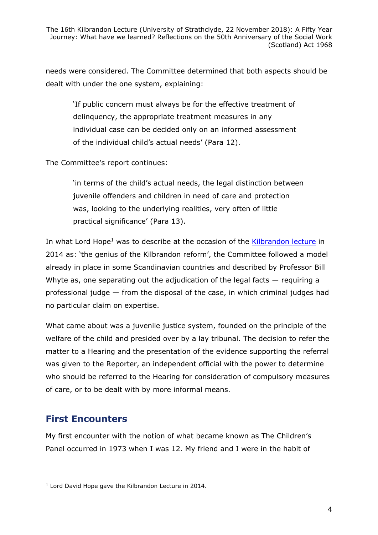needs were considered. The Committee determined that both aspects should be dealt with under the one system, explaining:

'If public concern must always be for the effective treatment of delinquency, the appropriate treatment measures in any individual case can be decided only on an informed assessment of the individual child's actual needs' (Para 12).

The Committee's report continues:

'in terms of the child's actual needs, the legal distinction between juvenile offenders and children in need of care and protection was, looking to the underlying realities, very often of little practical significance' (Para 13).

In what Lord Hope<sup>1</sup> was to describe at the occasion of the [Kilbrandon lecture](https://www.celcis.org/files/9314/3410/6379/2015_Vol_14_1_Hope_Remembering_Lord_Kilbrandon.pdf) in 2014 as: 'the genius of the Kilbrandon reform', the Committee followed a model already in place in some Scandinavian countries and described by Professor Bill Whyte as, one separating out the adjudication of the legal facts  $-$  requiring a professional judge — from the disposal of the case, in which criminal judges had no particular claim on expertise.

What came about was a juvenile justice system, founded on the principle of the welfare of the child and presided over by a lay tribunal. The decision to refer the matter to a Hearing and the presentation of the evidence supporting the referral was given to the Reporter, an independent official with the power to determine who should be referred to the Hearing for consideration of compulsory measures of care, or to be dealt with by more informal means.

# **First Encounters**

-

My first encounter with the notion of what became known as The Children's Panel occurred in 1973 when I was 12. My friend and I were in the habit of

<sup>1</sup> Lord David Hope gave the Kilbrandon Lecture in 2014.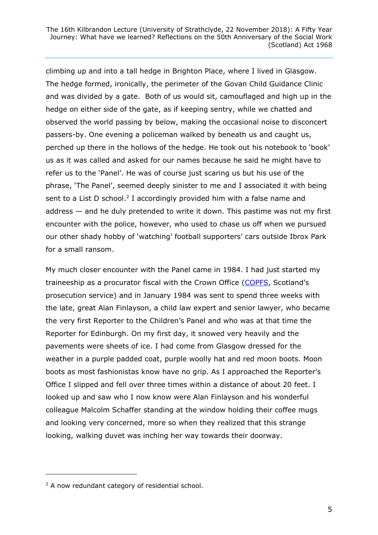climbing up and into a tall hedge in Brighton Place, where I lived in Glasgow. The hedge formed, ironically, the perimeter of the Govan Child Guidance Clinic and was divided by a gate. Both of us would sit, camouflaged and high up in the hedge on either side of the gate, as if keeping sentry, while we chatted and observed the world passing by below, making the occasional noise to disconcert passers-by. One evening a policeman walked by beneath us and caught us, perched up there in the hollows of the hedge. He took out his notebook to 'book' us as it was called and asked for our names because he said he might have to refer us to the 'Panel'. He was of course just scaring us but his use of the phrase, 'The Panel', seemed deeply sinister to me and I associated it with being sent to a List D school.<sup>2</sup> I accordingly provided him with a false name and address — and he duly pretended to write it down. This pastime was not my first encounter with the police, however, who used to chase us off when we pursued our other shady hobby of 'watching' football supporters' cars outside Ibrox Park for a small ransom.

My much closer encounter with the Panel came in 1984. I had just started my traineeship as a procurator fiscal with the Crown Office [\(COPFS](https://www.copfs.gov.uk/), Scotland's prosecution service) and in January 1984 was sent to spend three weeks with the late, great Alan Finlayson, a child law expert and senior lawyer, who became the very first Reporter to the Children's Panel and who was at that time the Reporter for Edinburgh. On my first day, it snowed very heavily and the pavements were sheets of ice. I had come from Glasgow dressed for the weather in a purple padded coat, purple woolly hat and red moon boots. Moon boots as most fashionistas know have no grip. As I approached the Reporter's Office I slipped and fell over three times within a distance of about 20 feet. I looked up and saw who I now know were Alan Finlayson and his wonderful colleague Malcolm Schaffer standing at the window holding their coffee mugs and looking very concerned, more so when they realized that this strange looking, walking duvet was inching her way towards their doorway.

-

<sup>&</sup>lt;sup>2</sup> A now redundant category of residential school.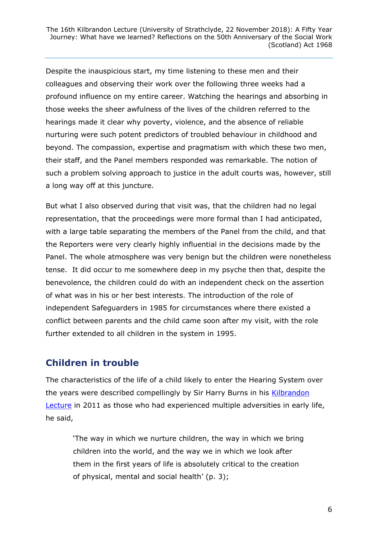Despite the inauspicious start, my time listening to these men and their colleagues and observing their work over the following three weeks had a profound influence on my entire career. Watching the hearings and absorbing in those weeks the sheer awfulness of the lives of the children referred to the hearings made it clear why poverty, violence, and the absence of reliable nurturing were such potent predictors of troubled behaviour in childhood and beyond. The compassion, expertise and pragmatism with which these two men, their staff, and the Panel members responded was remarkable. The notion of such a problem solving approach to justice in the adult courts was, however, still a long way off at this juncture.

But what I also observed during that visit was, that the children had no legal representation, that the proceedings were more formal than I had anticipated, with a large table separating the members of the Panel from the child, and that the Reporters were very clearly highly influential in the decisions made by the Panel. The whole atmosphere was very benign but the children were nonetheless tense. It did occur to me somewhere deep in my psyche then that, despite the benevolence, the children could do with an independent check on the assertion of what was in his or her best interests. The introduction of the role of independent Safeguarders in 1985 for circumstances where there existed a conflict between parents and the child came soon after my visit, with the role further extended to all children in the system in 1995.

### **Children in trouble**

The characteristics of the life of a child likely to enter the Hearing System over the years were described compellingly by Sir Harry Burns in his Kilbrandon [Lecture](https://www2.gov.scot/Resource/0040/00403544.pdf) in 2011 as those who had experienced multiple adversities in early life, he said,

'The way in which we nurture children, the way in which we bring children into the world, and the way we in which we look after them in the first years of life is absolutely critical to the creation of physical, mental and social health' (p. 3);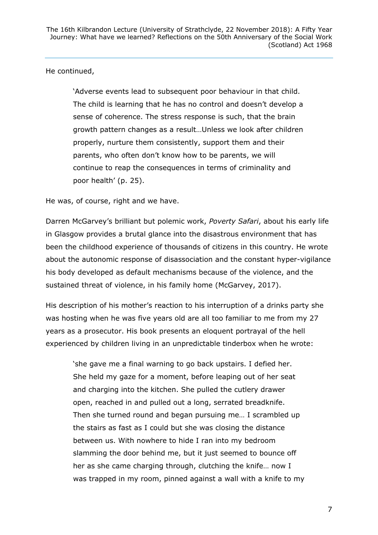#### He continued,

'Adverse events lead to subsequent poor behaviour in that child. The child is learning that he has no control and doesn't develop a sense of coherence. The stress response is such, that the brain growth pattern changes as a result…Unless we look after children properly, nurture them consistently, support them and their parents, who often don't know how to be parents, we will continue to reap the consequences in terms of criminality and poor health' (p. 25).

He was, of course, right and we have.

Darren McGarvey's brilliant but polemic work, *Poverty Safari*, about his early life in Glasgow provides a brutal glance into the disastrous environment that has been the childhood experience of thousands of citizens in this country. He wrote about the autonomic response of disassociation and the constant hyper-vigilance his body developed as default mechanisms because of the violence, and the sustained threat of violence, in his family home (McGarvey, 2017).

His description of his mother's reaction to his interruption of a drinks party she was hosting when he was five years old are all too familiar to me from my 27 years as a prosecutor. His book presents an eloquent portrayal of the hell experienced by children living in an unpredictable tinderbox when he wrote:

'she gave me a final warning to go back upstairs. I defied her. She held my gaze for a moment, before leaping out of her seat and charging into the kitchen. She pulled the cutlery drawer open, reached in and pulled out a long, serrated breadknife. Then she turned round and began pursuing me… I scrambled up the stairs as fast as I could but she was closing the distance between us. With nowhere to hide I ran into my bedroom slamming the door behind me, but it just seemed to bounce off her as she came charging through, clutching the knife… now I was trapped in my room, pinned against a wall with a knife to my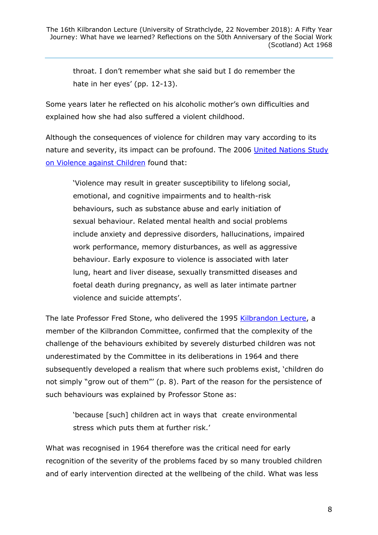throat. I don't remember what she said but I do remember the hate in her eyes' (pp. 12-13).

Some years later he reflected on his alcoholic mother's own difficulties and explained how she had also suffered a violent childhood.

Although the consequences of violence for children may vary according to its nature and severity, its impact can be profound. The 2006 [United Nations Study](https://www.ohchr.org/EN/HRBodies/CRC/Study/Pages/StudyViolenceChildren.aspx)  [on Violence against Children](https://www.ohchr.org/EN/HRBodies/CRC/Study/Pages/StudyViolenceChildren.aspx) found that:

'Violence may result in greater susceptibility to lifelong social, emotional, and cognitive impairments and to health-risk behaviours, such as substance abuse and early initiation of sexual behaviour. Related mental health and social problems include anxiety and depressive disorders, hallucinations, impaired work performance, memory disturbances, as well as aggressive behaviour. Early exposure to violence is associated with later lung, heart and liver disease, sexually transmitted diseases and foetal death during pregnancy, as well as later intimate partner violence and suicide attempts'.

The late Professor Fred Stone, who delivered the 1995 [Kilbrandon Lecture,](https://www2.gov.scot/Resource/0040/00403536.pdf) a member of the Kilbrandon Committee, confirmed that the complexity of the challenge of the behaviours exhibited by severely disturbed children was not underestimated by the Committee in its deliberations in 1964 and there subsequently developed a realism that where such problems exist, 'children do not simply "grow out of them"' (p. 8). Part of the reason for the persistence of such behaviours was explained by Professor Stone as:

'because [such] children act in ways that create environmental stress which puts them at further risk.'

What was recognised in 1964 therefore was the critical need for early recognition of the severity of the problems faced by so many troubled children and of early intervention directed at the wellbeing of the child. What was less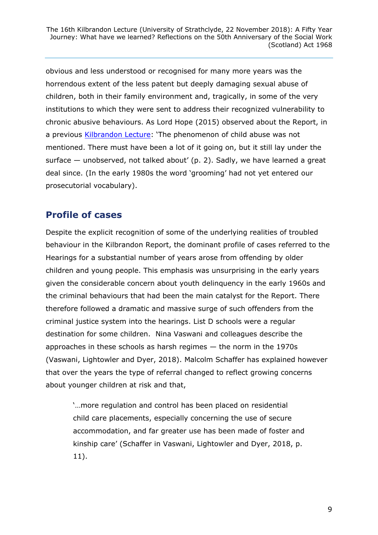obvious and less understood or recognised for many more years was the horrendous extent of the less patent but deeply damaging sexual abuse of children, both in their family environment and, tragically, in some of the very institutions to which they were sent to address their recognized vulnerability to chronic abusive behaviours. As Lord Hope (2015) observed about the Report, in a previous **Kilbrandon Lecture**: 'The phenomenon of child abuse was not mentioned. There must have been a lot of it going on, but it still lay under the surface — unobserved, not talked about' (p. 2). Sadly, we have learned a great deal since. (In the early 1980s the word 'grooming' had not yet entered our prosecutorial vocabulary).

### **Profile of cases**

Despite the explicit recognition of some of the underlying realities of troubled behaviour in the Kilbrandon Report, the dominant profile of cases referred to the Hearings for a substantial number of years arose from offending by older children and young people. This emphasis was unsurprising in the early years given the considerable concern about youth delinquency in the early 1960s and the criminal behaviours that had been the main catalyst for the Report. There therefore followed a dramatic and massive surge of such offenders from the criminal justice system into the hearings. List D schools were a regular destination for some children. Nina Vaswani and colleagues describe the approaches in these schools as harsh regimes — the norm in the 1970s (Vaswani, Lightowler and Dyer, 2018). Malcolm Schaffer has explained however that over the years the type of referral changed to reflect growing concerns about younger children at risk and that,

'…more regulation and control has been placed on residential child care placements, especially concerning the use of secure accommodation, and far greater use has been made of foster and kinship care' (Schaffer in Vaswani, Lightowler and Dyer, 2018, p. 11).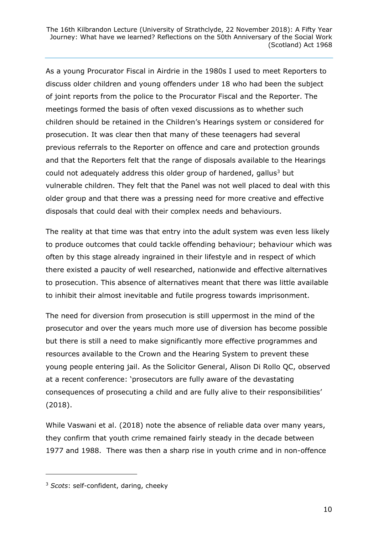As a young Procurator Fiscal in Airdrie in the 1980s I used to meet Reporters to discuss older children and young offenders under 18 who had been the subject of joint reports from the police to the Procurator Fiscal and the Reporter. The meetings formed the basis of often vexed discussions as to whether such children should be retained in the Children's Hearings system or considered for prosecution. It was clear then that many of these teenagers had several previous referrals to the Reporter on offence and care and protection grounds and that the Reporters felt that the range of disposals available to the Hearings could not adequately address this older group of hardened, gallus<sup>3</sup> but vulnerable children. They felt that the Panel was not well placed to deal with this older group and that there was a pressing need for more creative and effective disposals that could deal with their complex needs and behaviours.

The reality at that time was that entry into the adult system was even less likely to produce outcomes that could tackle offending behaviour; behaviour which was often by this stage already ingrained in their lifestyle and in respect of which there existed a paucity of well researched, nationwide and effective alternatives to prosecution. This absence of alternatives meant that there was little available to inhibit their almost inevitable and futile progress towards imprisonment.

The need for diversion from prosecution is still uppermost in the mind of the prosecutor and over the years much more use of diversion has become possible but there is still a need to make significantly more effective programmes and resources available to the Crown and the Hearing System to prevent these young people entering jail. As the Solicitor General, Alison Di Rollo QC, observed at a recent conference: 'prosecutors are fully aware of the devastating consequences of prosecuting a child and are fully alive to their responsibilities' (2018).

While Vaswani et al. (2018) note the absence of reliable data over many years, they confirm that youth crime remained fairly steady in the decade between 1977 and 1988. There was then a sharp rise in youth crime and in non-offence

-

<sup>3</sup> *Scots*: self-confident, daring, cheeky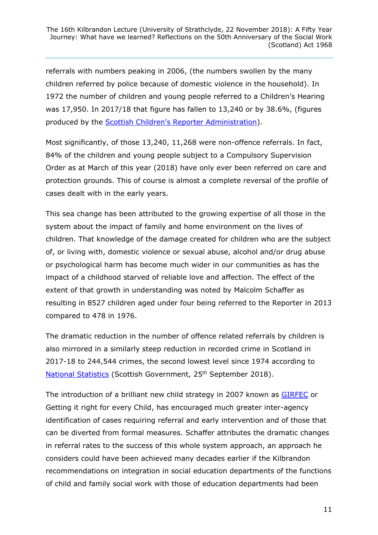referrals with numbers peaking in 2006, (the numbers swollen by the many children referred by police because of domestic violence in the household). In 1972 the number of children and young people referred to a Children's Hearing was 17,950. In 2017/18 that figure has fallen to 13,240 or by 38.6%, (figures produced by the Scottis[h Children's Reporter Administration](https://www.scra.gov.uk/)).

Most significantly, of those 13,240, 11,268 were non-offence referrals. In fact, 84% of the children and young people subject to a Compulsory Supervision Order as at March of this year (2018) have only ever been referred on care and protection grounds. This of course is almost a complete reversal of the profile of cases dealt with in the early years.

This sea change has been attributed to the growing expertise of all those in the system about the impact of family and home environment on the lives of children. That knowledge of the damage created for children who are the subject of, or living with, domestic violence or sexual abuse, alcohol and/or drug abuse or psychological harm has become much wider in our communities as has the impact of a childhood starved of reliable love and affection. The effect of the extent of that growth in understanding was noted by Malcolm Schaffer as resulting in 8527 children aged under four being referred to the Reporter in 2013 compared to 478 in 1976.

The dramatic reduction in the number of offence related referrals by children is also mirrored in a similarly steep reduction in recorded crime in Scotland in 2017-18 to 244,544 crimes, the second lowest level since 1974 according to [National Statistics](https://news.gov.scot/news/recorded-crime-in-scotland-2017-18) (Scottish Government, 25<sup>th</sup> September 2018).

The introduction of a brilliant new child strategy in 2007 known as [GIRFEC](https://www.gov.scot/policies/girfec/) or Getting it right for every Child, has encouraged much greater inter-agency identification of cases requiring referral and early intervention and of those that can be diverted from formal measures. Schaffer attributes the dramatic changes in referral rates to the success of this whole system approach, an approach he considers could have been achieved many decades earlier if the Kilbrandon recommendations on integration in social education departments of the functions of child and family social work with those of education departments had been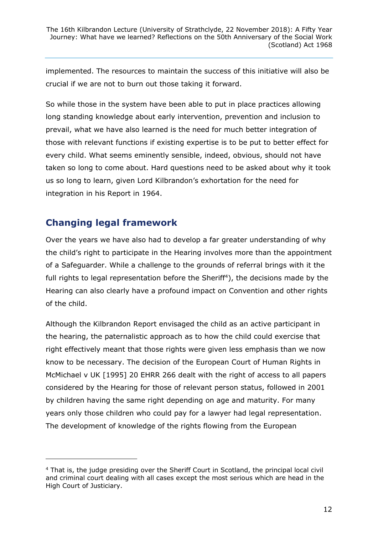implemented. The resources to maintain the success of this initiative will also be crucial if we are not to burn out those taking it forward.

So while those in the system have been able to put in place practices allowing long standing knowledge about early intervention, prevention and inclusion to prevail, what we have also learned is the need for much better integration of those with relevant functions if existing expertise is to be put to better effect for every child. What seems eminently sensible, indeed, obvious, should not have taken so long to come about. Hard questions need to be asked about why it took us so long to learn, given Lord Kilbrandon's exhortation for the need for integration in his Report in 1964.

#### **Changing legal framework**

-

Over the years we have also had to develop a far greater understanding of why the child's right to participate in the Hearing involves more than the appointment of a Safeguarder. While a challenge to the grounds of referral brings with it the full rights to legal representation before the Sheriff<sup>4</sup>), the decisions made by the Hearing can also clearly have a profound impact on Convention and other rights of the child.

Although the Kilbrandon Report envisaged the child as an active participant in the hearing, the paternalistic approach as to how the child could exercise that right effectively meant that those rights were given less emphasis than we now know to be necessary. The decision of the European Court of Human Rights in McMichael v UK [1995] 20 EHRR 266 dealt with the right of access to all papers considered by the Hearing for those of relevant person status, followed in 2001 by children having the same right depending on age and maturity. For many years only those children who could pay for a lawyer had legal representation. The development of knowledge of the rights flowing from the European

<sup>&</sup>lt;sup>4</sup> That is, the judge presiding over the Sheriff Court in Scotland, the principal local civil and criminal court dealing with all cases except the most serious which are head in the High Court of Justiciary.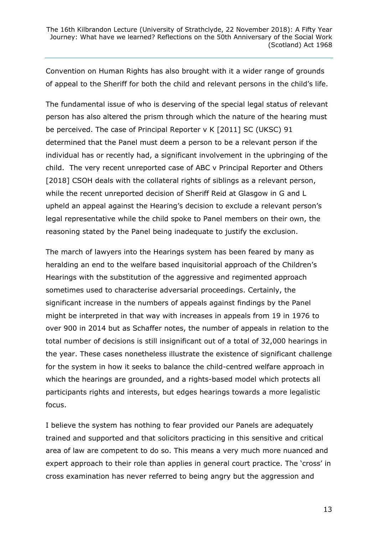Convention on Human Rights has also brought with it a wider range of grounds of appeal to the Sheriff for both the child and relevant persons in the child's life.

The fundamental issue of who is deserving of the special legal status of relevant person has also altered the prism through which the nature of the hearing must be perceived. The case of Principal Reporter v K [2011] SC (UKSC) 91 determined that the Panel must deem a person to be a relevant person if the individual has or recently had, a significant involvement in the upbringing of the child. The very recent unreported case of ABC v Principal Reporter and Others [2018] CSOH deals with the collateral rights of siblings as a relevant person, while the recent unreported decision of Sheriff Reid at Glasgow in G and L upheld an appeal against the Hearing's decision to exclude a relevant person's legal representative while the child spoke to Panel members on their own, the reasoning stated by the Panel being inadequate to justify the exclusion.

The march of lawyers into the Hearings system has been feared by many as heralding an end to the welfare based inquisitorial approach of the Children's Hearings with the substitution of the aggressive and regimented approach sometimes used to characterise adversarial proceedings. Certainly, the significant increase in the numbers of appeals against findings by the Panel might be interpreted in that way with increases in appeals from 19 in 1976 to over 900 in 2014 but as Schaffer notes, the number of appeals in relation to the total number of decisions is still insignificant out of a total of 32,000 hearings in the year. These cases nonetheless illustrate the existence of significant challenge for the system in how it seeks to balance the child-centred welfare approach in which the hearings are grounded, and a rights-based model which protects all participants rights and interests, but edges hearings towards a more legalistic focus.

I believe the system has nothing to fear provided our Panels are adequately trained and supported and that solicitors practicing in this sensitive and critical area of law are competent to do so. This means a very much more nuanced and expert approach to their role than applies in general court practice. The 'cross' in cross examination has never referred to being angry but the aggression and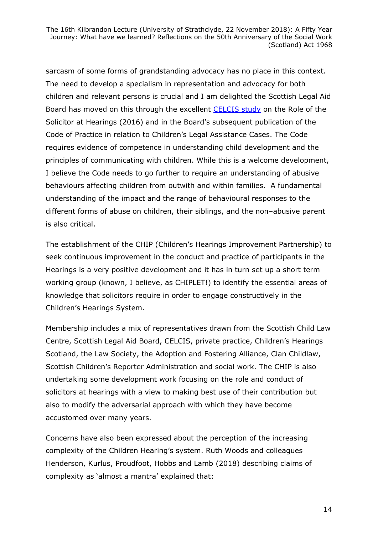sarcasm of some forms of grandstanding advocacy has no place in this context. The need to develop a specialism in representation and advocacy for both children and relevant persons is crucial and I am delighted the Scottish Legal Aid Board has moved on this through the excellent [CELCIS study](https://www.celcis.org/files/8514/7576/7298/CELCIS-The_role_of_the_solicitor_in_the_Childrens_Hearing_System_-_2016.pdf) on the Role of the Solicitor at Hearings (2016) and in the Board's subsequent publication of the Code of Practice in relation to Children's Legal Assistance Cases. The Code requires evidence of competence in understanding child development and the principles of communicating with children. While this is a welcome development, I believe the Code needs to go further to require an understanding of abusive behaviours affecting children from outwith and within families. A fundamental understanding of the impact and the range of behavioural responses to the different forms of abuse on children, their siblings, and the non–abusive parent is also critical.

The establishment of the CHIP (Children's Hearings Improvement Partnership) to seek continuous improvement in the conduct and practice of participants in the Hearings is a very positive development and it has in turn set up a short term working group (known, I believe, as CHIPLET!) to identify the essential areas of knowledge that solicitors require in order to engage constructively in the Children's Hearings System.

Membership includes a mix of representatives drawn from the Scottish Child Law Centre, Scottish Legal Aid Board, CELCIS, private practice, Children's Hearings Scotland, the Law Society, the Adoption and Fostering Alliance, Clan Childlaw, Scottish Children's Reporter Administration and social work. The CHIP is also undertaking some development work focusing on the role and conduct of solicitors at hearings with a view to making best use of their contribution but also to modify the adversarial approach with which they have become accustomed over many years.

Concerns have also been expressed about the perception of the increasing complexity of the Children Hearing's system. Ruth Woods and colleagues Henderson, Kurlus, Proudfoot, Hobbs and Lamb (2018) describing claims of complexity as 'almost a mantra' explained that: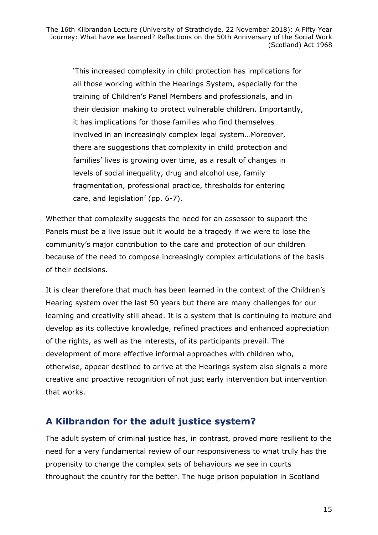'This increased complexity in child protection has implications for all those working within the Hearings System, especially for the training of Children's Panel Members and professionals, and in their decision making to protect vulnerable children. Importantly, it has implications for those families who find themselves involved in an increasingly complex legal system…Moreover, there are suggestions that complexity in child protection and families' lives is growing over time, as a result of changes in levels of social inequality, drug and alcohol use, family fragmentation, professional practice, thresholds for entering care, and legislation' (pp. 6-7).

Whether that complexity suggests the need for an assessor to support the Panels must be a live issue but it would be a tragedy if we were to lose the community's major contribution to the care and protection of our children because of the need to compose increasingly complex articulations of the basis of their decisions.

It is clear therefore that much has been learned in the context of the Children's Hearing system over the last 50 years but there are many challenges for our learning and creativity still ahead. It is a system that is continuing to mature and develop as its collective knowledge, refined practices and enhanced appreciation of the rights, as well as the interests, of its participants prevail. The development of more effective informal approaches with children who, otherwise, appear destined to arrive at the Hearings system also signals a more creative and proactive recognition of not just early intervention but intervention that works.

### **A Kilbrandon for the adult justice system?**

The adult system of criminal justice has, in contrast, proved more resilient to the need for a very fundamental review of our responsiveness to what truly has the propensity to change the complex sets of behaviours we see in courts throughout the country for the better. The huge prison population in Scotland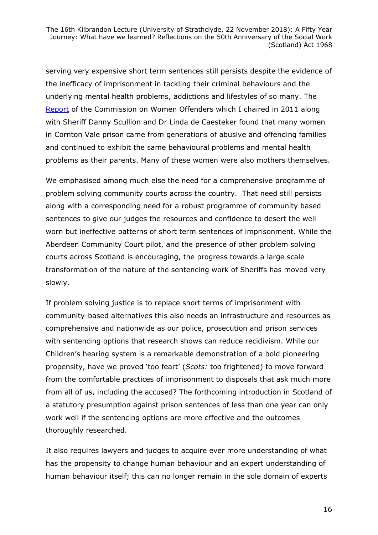serving very expensive short term sentences still persists despite the evidence of the inefficacy of imprisonment in tackling their criminal behaviours and the underlying mental health problems, addictions and lifestyles of so many. The [Report](https://www.parliament.scot/parliamentarybusiness/CurrentCommittees/70346.aspx) of the Commission on Women Offenders which I chaired in 2011 along with Sheriff Danny Scullion and Dr Linda de Caesteker found that many women in Cornton Vale prison came from generations of abusive and offending families and continued to exhibit the same behavioural problems and mental health problems as their parents. Many of these women were also mothers themselves.

We emphasised among much else the need for a comprehensive programme of problem solving community courts across the country. That need still persists along with a corresponding need for a robust programme of community based sentences to give our judges the resources and confidence to desert the well worn but ineffective patterns of short term sentences of imprisonment. While the Aberdeen Community Court pilot, and the presence of other problem solving courts across Scotland is encouraging, the progress towards a large scale transformation of the nature of the sentencing work of Sheriffs has moved very slowly.

If problem solving justice is to replace short terms of imprisonment with community-based alternatives this also needs an infrastructure and resources as comprehensive and nationwide as our police, prosecution and prison services with sentencing options that research shows can reduce recidivism. While our Children's hearing system is a remarkable demonstration of a bold pioneering propensity, have we proved 'too feart' (*Scots:* too frightened) to move forward from the comfortable practices of imprisonment to disposals that ask much more from all of us, including the accused? The forthcoming introduction in Scotland of a statutory presumption against prison sentences of less than one year can only work well if the sentencing options are more effective and the outcomes thoroughly researched.

It also requires lawyers and judges to acquire ever more understanding of what has the propensity to change human behaviour and an expert understanding of human behaviour itself; this can no longer remain in the sole domain of experts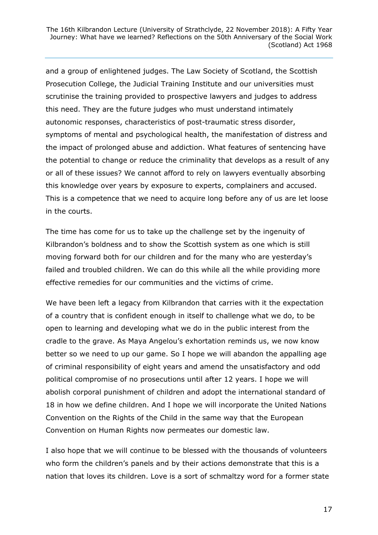and a group of enlightened judges. The Law Society of Scotland, the Scottish Prosecution College, the Judicial Training Institute and our universities must scrutinise the training provided to prospective lawyers and judges to address this need. They are the future judges who must understand intimately autonomic responses, characteristics of post-traumatic stress disorder, symptoms of mental and psychological health, the manifestation of distress and the impact of prolonged abuse and addiction. What features of sentencing have the potential to change or reduce the criminality that develops as a result of any or all of these issues? We cannot afford to rely on lawyers eventually absorbing this knowledge over years by exposure to experts, complainers and accused. This is a competence that we need to acquire long before any of us are let loose in the courts.

The time has come for us to take up the challenge set by the ingenuity of Kilbrandon's boldness and to show the Scottish system as one which is still moving forward both for our children and for the many who are yesterday's failed and troubled children. We can do this while all the while providing more effective remedies for our communities and the victims of crime.

We have been left a legacy from Kilbrandon that carries with it the expectation of a country that is confident enough in itself to challenge what we do, to be open to learning and developing what we do in the public interest from the cradle to the grave. As Maya Angelou's exhortation reminds us, we now know better so we need to up our game. So I hope we will abandon the appalling age of criminal responsibility of eight years and amend the unsatisfactory and odd political compromise of no prosecutions until after 12 years. I hope we will abolish corporal punishment of children and adopt the international standard of 18 in how we define children. And I hope we will incorporate the United Nations Convention on the Rights of the Child in the same way that the European Convention on Human Rights now permeates our domestic law.

I also hope that we will continue to be blessed with the thousands of volunteers who form the children's panels and by their actions demonstrate that this is a nation that loves its children. Love is a sort of schmaltzy word for a former state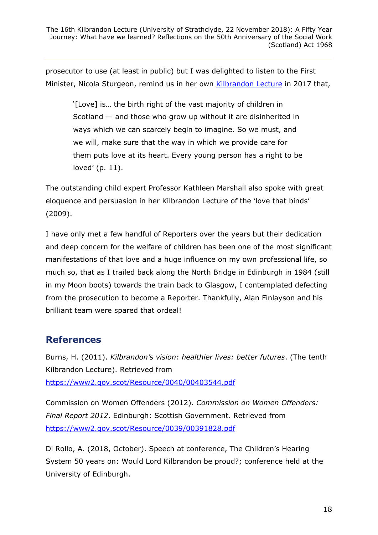prosecutor to use (at least in public) but I was delighted to listen to the First Minister, Nicola Sturgeon, remind us in her own [Kilbrandon Lecture](https://www.celcis.org/files/9115/2396/7778/2018_Vol_17_1_Kilbrandon_Lecture_Transcript.pdf) in 2017 that,

'[Love] is… the birth right of the vast majority of children in Scotland — and those who grow up without it are disinherited in ways which we can scarcely begin to imagine. So we must, and we will, make sure that the way in which we provide care for them puts love at its heart. Every young person has a right to be loved' (p. 11).

The outstanding child expert Professor Kathleen Marshall also spoke with great eloquence and persuasion in her Kilbrandon Lecture of the 'love that binds' (2009).

I have only met a few handful of Reporters over the years but their dedication and deep concern for the welfare of children has been one of the most significant manifestations of that love and a huge influence on my own professional life, so much so, that as I trailed back along the North Bridge in Edinburgh in 1984 (still in my Moon boots) towards the train back to Glasgow, I contemplated defecting from the prosecution to become a Reporter. Thankfully, Alan Finlayson and his brilliant team were spared that ordeal!

### **References**

Burns, H. (2011). *Kilbrandon's vision: healthier lives: better futures*. (The tenth Kilbrandon Lecture). Retrieved from <https://www2.gov.scot/Resource/0040/00403544.pdf>

Commission on Women Offenders (2012). *Commission on Women Offenders: Final Report 2012*. Edinburgh: Scottish Government. Retrieved from <https://www2.gov.scot/Resource/0039/00391828.pdf>

Di Rollo, A. (2018, October). Speech at conference, The Children's Hearing System 50 years on: Would Lord Kilbrandon be proud?; conference held at the University of Edinburgh.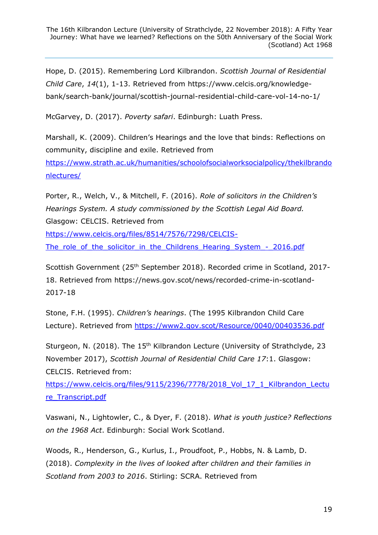Hope, D. (2015). Remembering Lord Kilbrandon. *Scottish Journal of Residential Child Care*, *14*(1), 1-13. Retrieved from https://www.celcis.org/knowledgebank/search-bank/journal/scottish-journal-residential-child-care-vol-14-no-1/

McGarvey, D. (2017). *Poverty safari*. Edinburgh: Luath Press.

Marshall, K. (2009). Children's Hearings and the love that binds: Reflections on community, discipline and exile. Retrieved from

[https://www.strath.ac.uk/humanities/schoolofsocialworksocialpolicy/thekilbrando](https://www.strath.ac.uk/humanities/schoolofsocialworksocialpolicy/thekilbrandonlectures/) [nlectures/](https://www.strath.ac.uk/humanities/schoolofsocialworksocialpolicy/thekilbrandonlectures/)

Porter, R., Welch, V., & Mitchell, F. (2016). *Role of solicitors in the Children's Hearings System. A study commissioned by the Scottish Legal Aid Board.* Glasgow: CELCIS. Retrieved from

[https://www.celcis.org/files/8514/7576/7298/CELCIS-](https://www.celcis.org/files/8514/7576/7298/CELCIS-The_role_of_the_solicitor_in_the_Childrens_Hearing_System_-_2016.pdf)

The role of the solicitor in the Childrens Hearing System - 2016.pdf

Scottish Government (25th September 2018). Recorded crime in Scotland, 2017- 18. Retrieved from https://news.gov.scot/news/recorded-crime-in-scotland-2017-18

Stone, F.H. (1995). *Children's hearings*. (The 1995 Kilbrandon Child Care Lecture). Retrieved from<https://www2.gov.scot/Resource/0040/00403536.pdf>

Sturgeon, N. (2018). The 15<sup>th</sup> Kilbrandon Lecture (University of Strathclyde, 23 November 2017), *Scottish Journal of Residential Child Care 17*:1. Glasgow: CELCIS. Retrieved from:

https://www.celcis.org/files/9115/2396/7778/2018 Vol\_17\_1\_Kilbrandon\_Lectu [re\\_Transcript.pdf](https://www.celcis.org/files/9115/2396/7778/2018_Vol_17_1_Kilbrandon_Lecture_Transcript.pdf)

Vaswani, N., Lightowler, C., & Dyer, F. (2018). *What is youth justice? Reflections on the 1968 Act*. Edinburgh: Social Work Scotland.

Woods, R., Henderson, G., Kurlus, I., Proudfoot, P., Hobbs, N. & Lamb, D. (2018). *Complexity in the lives of looked after children and their families in Scotland from 2003 to 2016*. Stirling: SCRA. Retrieved from